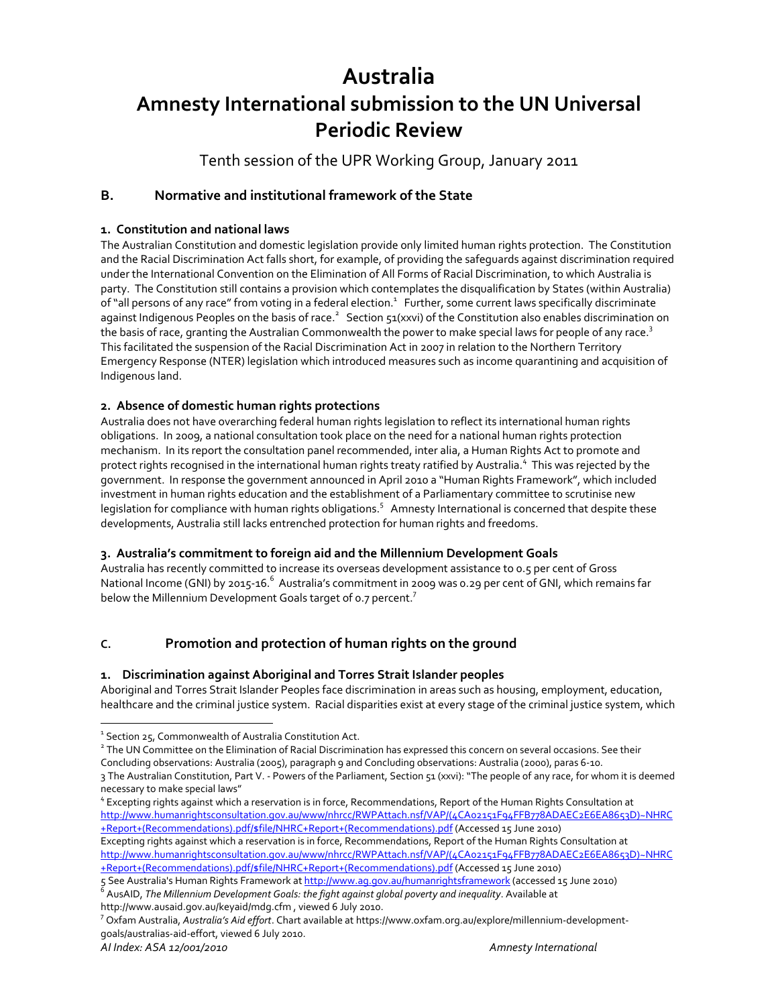# **Australia**

# **Amnesty International submission to the UN Universal Periodic Review**

Tenth session of the UPR Working Group, January 2011

# **B. Normative and institutional framework of the State**

# **1. Constitution and national laws**

The Australian Constitution and domestic legislation provide only limited human rights protection. The Constitution and the Racial Discrimination Act falls short, for example, of providing the safeguards against discrimination required under the International Convention on the Elimination of All Forms of Racial Discrimination, to which Australia is party. The Constitution still contains a provision which contemplates the disqualification by States (within Australia) of "all persons of any race" from voting in a federal election. $^1$  Further, some current laws specifically discriminate against Indigenous Peoples on the basis of race.<sup>2</sup> Section 51(xxvi) of the Constitution also enables discrimination on the basis of race, granting the Australian Commonwealth the power to make special laws for people of any race.<sup>3</sup> This facilitated the suspension of the Racial Discrimination Act in 2007 in relation to the Northern Territory Emergency Response (NTER) legislation which introduced measures such as income quarantining and acquisition of Indigenous land.

## **2. Absence of domestic human rights protections**

Australia does not have overarching federal human rights legislation to reflect its international human rights obligations. In 2009, a national consultation took place on the need for a national human rights protection mechanism. In its report the consultation panel recommended, inter alia, a Human Rights Act to promote and protect rights recognised in the international human rights treaty ratified by Australia. $^4\,$  This was rejected by the government. In response the government announced in April 2010 a "Human Rights Framework", which included investment in human rights education and the establishment of a Parliamentary committee to scrutinise new legislation for compliance with human rights obligations.<sup>5</sup> Amnesty International is concerned that despite these developments, Australia still lacks entrenched protection for human rights and freedoms.

# **3. Australia's commitment to foreign aid and the Millennium Development Goals**

Australia has recently committed to increase its overseas development assistance to 0.5 per cent of Gross National Income (GNI) by 2015-16.<sup>6</sup> Australia's commitment in 2009 was 0.29 per cent of GNI, which remains far below the Millennium Development Goals target of 0.7 percent.<sup>7</sup>

# **C. Promotion and protection of human rights on the ground**

# **1. Discrimination against Aboriginal and Torres Strait Islander peoples**

Aboriginal and Torres Strait Islander Peoples face discrimination in areas such as housing, employment, education, healthcare and the criminal justice system. Racial disparities exist at every stage of the criminal justice system, which

<sup>&</sup>lt;sup>1</sup> Section 25, Commonwealth of Australia Constitution Act.<br><sup>2</sup> The UN Committee on the Elimination of Racial Discrimination has expressed this concern on several occasions. See their Concluding observations: Australia (2005), paragraph 9 and Concluding observations: Australia (2000), paras 6‐10.

<sup>3</sup> The Australian Constitution, Part V. - Powers of the Parliament, Section 51 (xxvi): "The people of any race, for whom it is deemed<br>necessary to make special laws"

<sup>&</sup>lt;sup>4</sup> Excepting rights against which a reservation is in force, Recommendations, Report of the Human Rights Consultation at http://www.humanrightsconsultation.gov.au/www/nhrcc/RWPAttach.nsf/VAP/(4CA02151F94FFB778ADAEC2E6EA8653D)~NHRC +Report+(Recommendations).pdf/\$file/NHRC+Report+(Recommendations).pdf (Accessed 15 June 2010) Excepting rights against which a reservation is in force, Recommendations, Report of the Human Rights Consultation at http://www.humanrightsconsultation.gov.au/www/nhrcc/RWPAttach.nsf/VAP/(4CA02151F94FFB778ADAEC2E6EA8653D)~NHRC +Report+(Recommendations).pdf/\$file/NHRC+Report+(Recommendations).pdf (Accessed 15 June 2010)

<sup>5</sup> See Australia's Human Rights Framework at <u>http://www.ag.gov.au/humanrightsframework</u> (accessed 15 June 2010)<br><sup>6</sup> AusAID, *The Millennium Development Goals: the fight against global poverty and inequality. Available at* 

http://www.ausaid.gov.au/keyaid/mdg.cfm , viewed <sup>6</sup> July 2010. <sup>7</sup>

<sup>&</sup>lt;sup>7</sup> Oxfam Australia, *Australia's Aid effort*. Chart available at https://www.oxfam.org.au/explore/millennium-developmentgoals/australias‐aid‐effort, viewed 6 July 2010.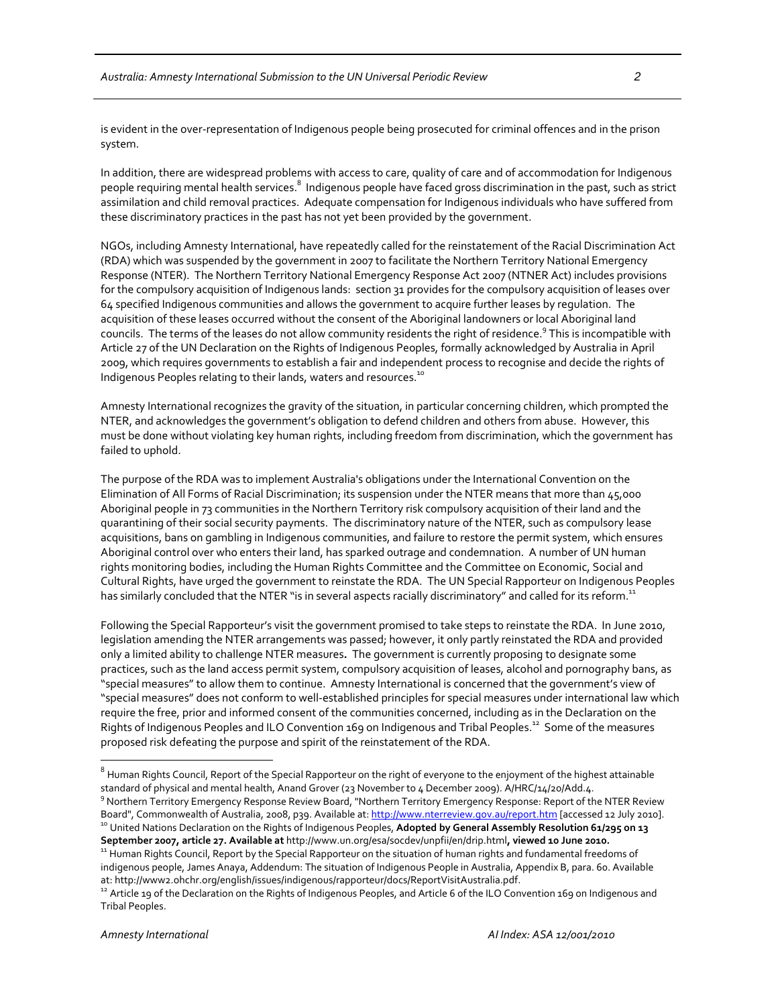is evident in the over-representation of Indigenous people being prosecuted for criminal offences and in the prison system.

In addition, there are widespread problems with access to care, quality of care and of accommodation for Indigenous people requiring mental health services.<sup>8</sup> Indigenous people have faced gross discrimination in the past, such as strict assimilation and child removal practices. Adequate compensation for Indigenous individuals who have suffered from these discriminatory practices in the past has not yet been provided by the government.

NGOs, including Amnesty International, have repeatedly called for the reinstatement of the Racial Discrimination Act (RDA) which was suspended by the government in 2007 to facilitate the Northern Territory National Emergency Response (NTER). The Northern Territory National Emergency Response Act 2007 (NTNER Act) includes provisions for the compulsory acquisition of Indigenous lands: section 31 provides for the compulsory acquisition of leases over 64 specified Indigenous communities and allows the government to acquire further leases by regulation. The acquisition of these leases occurred without the consent of the Aboriginal landowners or local Aboriginal land councils. The terms of the leases do not allow community residents the right of residence.<sup>9</sup> This is incompatible with Article 27 of the UN Declaration on the Rights of Indigenous Peoples, formally acknowledged by Australia in April 2009, which requires governments to establish a fair and independent process to recognise and decide the rights of Indigenous Peoples relating to their lands, waters and resources.<sup>10</sup>

Amnesty International recognizes the gravity of the situation, in particular concerning children, which prompted the NTER, and acknowledges the government's obligation to defend children and others from abuse. However, this must be done without violating key human rights, including freedom from discrimination, which the government has failed to uphold.

The purpose of the RDA was to implement Australia's obligations under the International Convention on the Elimination of All Forms of Racial Discrimination; its suspension under the NTER means that more than 45,000 Aboriginal people in 73 communities in the Northern Territory risk compulsory acquisition of their land and the quarantining of their social security payments. The discriminatory nature of the NTER, such as compulsory lease acquisitions, bans on gambling in Indigenous communities, and failure to restore the permit system, which ensures Aboriginal control over who enters their land, has sparked outrage and condemnation. A number of UN human rights monitoring bodies, including the Human Rights Committee and the Committee on Economic, Social and Cultural Rights, have urged the government to reinstate the RDA. The UN Special Rapporteur on Indigenous Peoples has similarly concluded that the NTER "is in several aspects racially discriminatory" and called for its reform.<sup>11</sup>

Following the Special Rapporteur's visit the government promised to take steps to reinstate the RDA. In June 2010, legislation amending the NTER arrangements was passed; however, it only partly reinstated the RDA and provided only a limited ability to challenge NTER measures**.** The government is currently proposing to designate some practices, such as the land access permit system, compulsory acquisition of leases, alcohol and pornography bans, as "special measures"to allow them to continue. Amnesty International is concerned that the government's view of "special measures" does not conform to well‐established principles for special measures under international law which require the free, prior and informed consent of the communities concerned, including as in the Declaration on the Rights of Indigenous Peoples and ILO Convention 169 on Indigenous and Tribal Peoples.<sup>12</sup> Some of the measures proposed risk defeating the purpose and spirit of the reinstatement of the RDA.

 $^8$  Human Rights Council, Report of the Special Rapporteur on the right of everyone to the enjoyment of the highest attainable<br>standard of physical and mental health, Anand Grover (23 November to 4 December 2009). A/HRC/ <sup>9</sup> Northern Territory Emergency Response Review Board, "Northern Territory Emergency Response: Report of the NTER Review

Board", Commonwealth of Australia, 2008, p39. Available at: <u>http://www.nterreview.gov.au/report.htm</u> [accessed 12 July 2010].<br><sup>10</sup> United Nations Declaration on the Rights of Indigenous Peoples**, Adopted by General Assemb** 

September 2007, article 27. Available at http://www.un.org/esa/socdev/unpfii/en/drip.html, viewed 10 June 2010.<br><sup>11</sup> Human Rights Council, Report by the Special Rapporteur on the situation of human rights and fundamental f indigenous people, James Anaya, Addendum: The situation of Indigenous People in Australia, Appendix B, para. 60. Available at: http://www2.ohchr.org/english/issues/indigenous/rapporteur/docs/ReportVisitAustralia.pdf.<br><sup>12</sup> Article 19 of the Declaration on the Rights of Indigenous Peoples, and Article 6 of the ILO Convention 169 on Indigenous an

Tribal Peoples.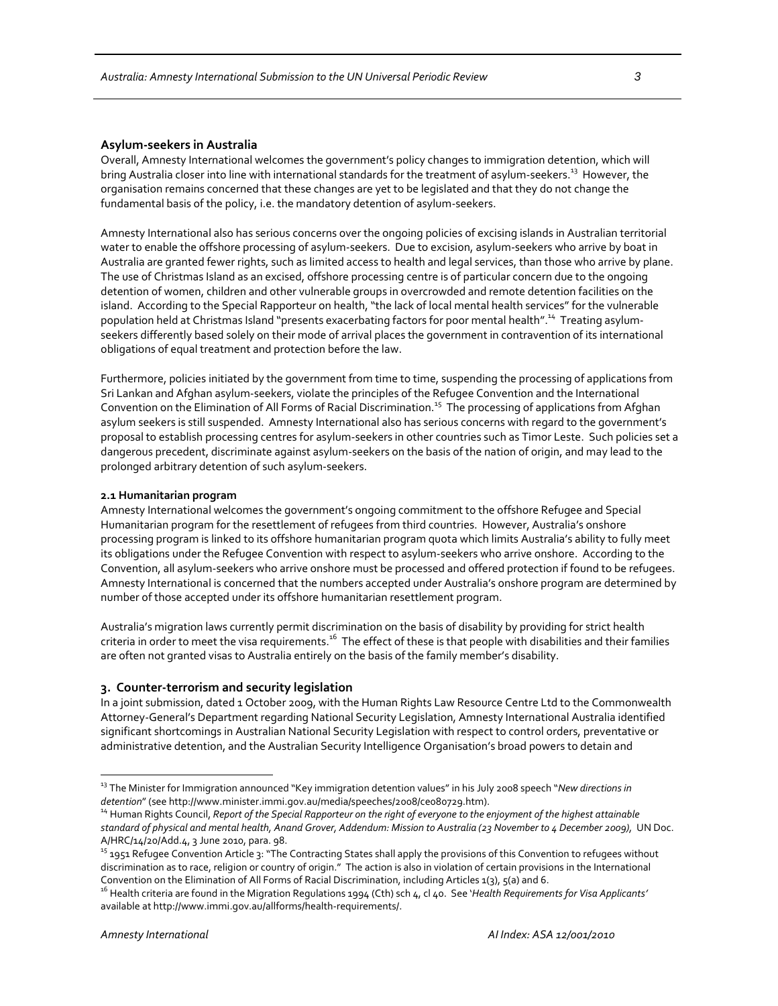#### **Asylum‐seekers in Australia**

Overall, Amnesty International welcomes the government's policy changes to immigration detention, which will bring Australia closer into line with international standards for the treatment of asylum-seekers.<sup>13</sup> However, the organisation remains concerned that these changes are yet to be legislated and that they do not change the fundamental basis of the policy, i.e. the mandatory detention of asylum-seekers.

Amnesty International also has serious concerns over the ongoing policies of excising islands in Australian territorial water to enable the offshore processing of asylum-seekers. Due to excision, asylum-seekers who arrive by boat in Australia are granted fewer rights, such as limited access to health and legal services, than those who arrive by plane. The use of Christmas Island as an excised, offshore processing centre is of particular concern due to the ongoing detention of women, children and other vulnerable groups in overcrowded and remote detention facilities on the island. According to the Special Rapporteur on health, "the lack of local mental health services" for the vulnerable population held at Christmas Island "presents exacerbating factors for poor mental health".<sup>14</sup> Treating asylumseekers differently based solely on their mode of arrival places the government in contravention of its international obligations of equal treatment and protection before the law.

Furthermore, policies initiated by the government from time to time, suspending the processing of applications from Sri Lankan and Afghan asylum‐seekers, violate the principles of the Refugee Convention and the International Convention on the Elimination of All Forms of Racial Discrimination.<sup>15</sup> The processing of applications from Afghan asylum seekers is still suspended. Amnesty International also has serious concerns with regard to the government's proposal to establish processing centres for asylum‐seekers in other countries such as Timor Leste. Such policies set a dangerous precedent, discriminate against asylum‐seekers on the basis of the nation of origin, and may lead to the prolonged arbitrary detention of such asylum‐seekers.

#### **2.1 Humanitarian program**

Amnesty International welcomes the government's ongoing commitment to the offshore Refugee and Special Humanitarian program for the resettlement of refugees from third countries. However, Australia's onshore processing program is linked to its offshore humanitarian program quota which limits Australia's ability to fully meet its obligations under the Refugee Convention with respect to asylum‐seekers who arrive onshore. According to the Convention, all asylum‐seekers who arrive onshore must be processed and offered protection if found to be refugees. Amnesty International is concerned that the numbers accepted under Australia's onshore program are determined by number of those accepted under its offshore humanitarian resettlement program.

Australia's migration laws currently permit discrimination on the basis of disability by providing for strict health criteria in order to meet the visa requirements.<sup>16</sup> The effect of these is that people with disabilities and their families are often not granted visas to Australia entirely on the basis of the family member's disability.

#### **3. Counter‐terrorism and security legislation**

In a joint submission, dated 1 October 2009, with the Human Rights Law Resource Centre Ltd to the Commonwealth Attorney‐General's Department regarding National Security Legislation, Amnesty International Australia identified significant shortcomings in Australian National Security Legislation with respect to control orders, preventative or administrative detention, and the Australian Security Intelligence Organisation's broad powers to detain and

<sup>13</sup> The Minister for Immigration announced "Key immigration detention values" in his July 2008 speech "*New directions in* detention" (see http://www.minister.immi.gov.au/media/speeches/2008/ce080729.htm).<br><sup>14</sup> Human Rights Council, *Report of the Special Rapporteur on the right of everyone to the enjoyment of the highest attainable* 

standard of physical and mental health, Anand Grover, Addendum: Mission to Australia (23 November to 4 December 2009), UN Doc. A/HRC/14/20/Add.4, 3 June 2010, para. 98.<br><sup>15</sup> 1951 Refugee Convention Article 3: "The Contracting States shall apply the provisions of this Convention to refugees without

discrimination as to race, religion or country of origin." The action is also in violation of certain provisions in the International

Convention on the Elimination of All Forms of Racial Discrimination, including Articles 1(3), 5(a) and 6.<br><sup>16</sup> Health criteria are found in the Migration Regulations 1994 (Cth) sch 4, cl 40. See '*Health Requirements for V* available at http://www.immi.gov.au/allforms/health‐requirements/.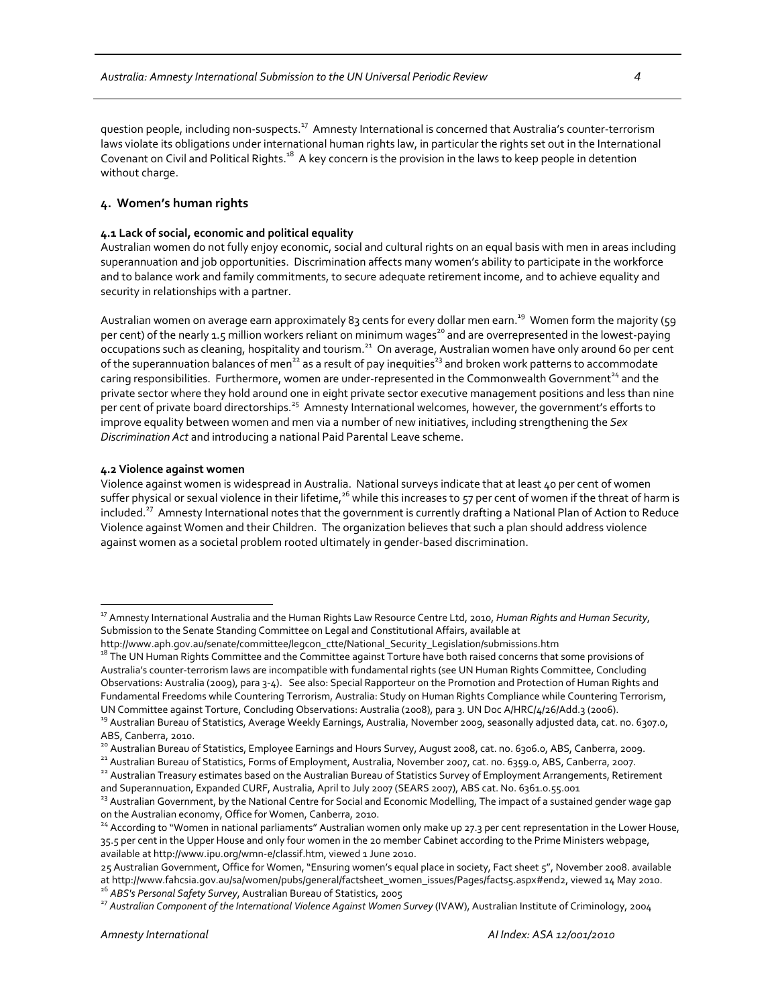guestion people, including non‐suspects.<sup>17</sup> Amnesty International is concerned that Australia's counter‐terrorism laws violate its obligations under international human rights law, in particular the rights set out in the International Covenant on Civil and Political Rights.<sup>18</sup> A key concern is the provision in the laws to keep people in detention without charge.

## **4. Women's human rights**

#### **4.1 Lack of social, economic and political equality**

Australian women do not fully enjoy economic, social and cultural rights on an equal basis with men in areas including superannuation and job opportunities. Discrimination affects many women's ability to participate in the workforce and to balance work and family commitments, to secure adequate retirement income, and to achieve equality and security in relationships with a partner.

Australian women on average earn approximately 83 cents for every dollar men earn.<sup>19</sup> Women form the majority (59 per cent) of the nearly 1.5 million workers reliant on minimum wages<sup>20</sup> and are overrepresented in the lowest-paying occupations such as cleaning, hospitality and tourism.<sup>21</sup> On average, Australian women have only around 60 per cent of the superannuation balances of men<sup>22</sup> as a result of pay inequities<sup>23</sup> and broken work patterns to accommodate caring responsibilities. Furthermore, women are under-represented in the Commonwealth Government<sup>24</sup> and the private sector where they hold around one in eight private sector executive management positions and less than nine per cent of private board directorships.<sup>25</sup> Amnesty International welcomes, however, the government's efforts to improve equality between women and men via a number of new initiatives, including strengthening the *Sex Discrimination Act* and introducing a national Paid Parental Leave scheme.

#### **4.2 Violence against women**

 $\overline{a}$ 

Violence against women is widespread in Australia. National surveys indicate that at least 40 per cent of women suffer physical or sexual violence in their lifetime,<sup>26</sup> while this increases to 57 per cent of women if the threat of harm is included.<sup>27</sup> Amnesty International notes that the government is currently drafting a National Plan of Action to Reduce Violence against Women and their Children. The organization believes that such a plan should address violence against women as a societal problem rooted ultimately in gender‐based discrimination.

<sup>17</sup> Amnesty International Australia and the Human Rights Law Resource Centre Ltd, 2010, *Human Rights and Human Security*, Submission to the Senate Standing Committee on Legal and Constitutional Affairs, available at

http://www.aph.gov.au/senate/committee/legcon\_ctte/National\_Security\_Legislation/submissions.htm 18 The UN Human Rights Committee and the Committee against Torture have both raised concerns that some provisions of Australia's counter‐terrorism laws are incompatible with fundamental rights (see UN Human Rights Committee, Concluding Observations: Australia (2009), para 3‐4). See also: Special Rapporteur on the Promotion and Protection of Human Rights and Fundamental Freedoms while Countering Terrorism, Australia: Study on Human Rights Compliance while Countering Terrorism, UN Committee against Torture, Concluding Observations: Australia (2008), para 3. UN Doc A/HRC/4/26/Add.3 (2006).<br><sup>39</sup> Australian Bureau of Statistics, Average Weekly Earnings, Australia, November 2009, seasonally adjusted

ABS, Canberra, 2010.<br><sup>20</sup> Australian Bureau of Statistics, Employee Earnings and Hours Survey, August 2008, cat. no. 6306.0, ABS, Canberra, 2009.<br><sup>21</sup> Australian Bureau of Statistics, Forms of Employment, Australia, Novemb

<sup>&</sup>lt;sup>23</sup> Australian Government, by the National Centre for Social and Economic Modelling, The impact of a sustained gender wage gap on the Australian economy, Office for Women, Canberra, 2010.<br><sup>24</sup> According to "Women in national parliaments" Australian women only make up 27.3 per cent representation in the Lower House,

<sup>35.5</sup> per cent in the Upper House and only four women in the 20 member Cabinet according to the Prime Ministers webpage, available at http://www.ipu.org/wmn‐e/classif.htm, viewed 1 June 2010.

<sup>25</sup> Australian Government, Office for Women, "Ensuring women's equal place in society, Fact sheet 5", November 2008. available at http://www.fahcsia.gov.au/sa/women/pubs/general/factsheet\_women\_issues/Pages/facts5.aspx#end2, viewed 14 May 2010.<br><sup>26</sup> ABS's Personal Safety Survey, Australian Bureau of Statistics, 2005<br><sup>27</sup> Australian Component of th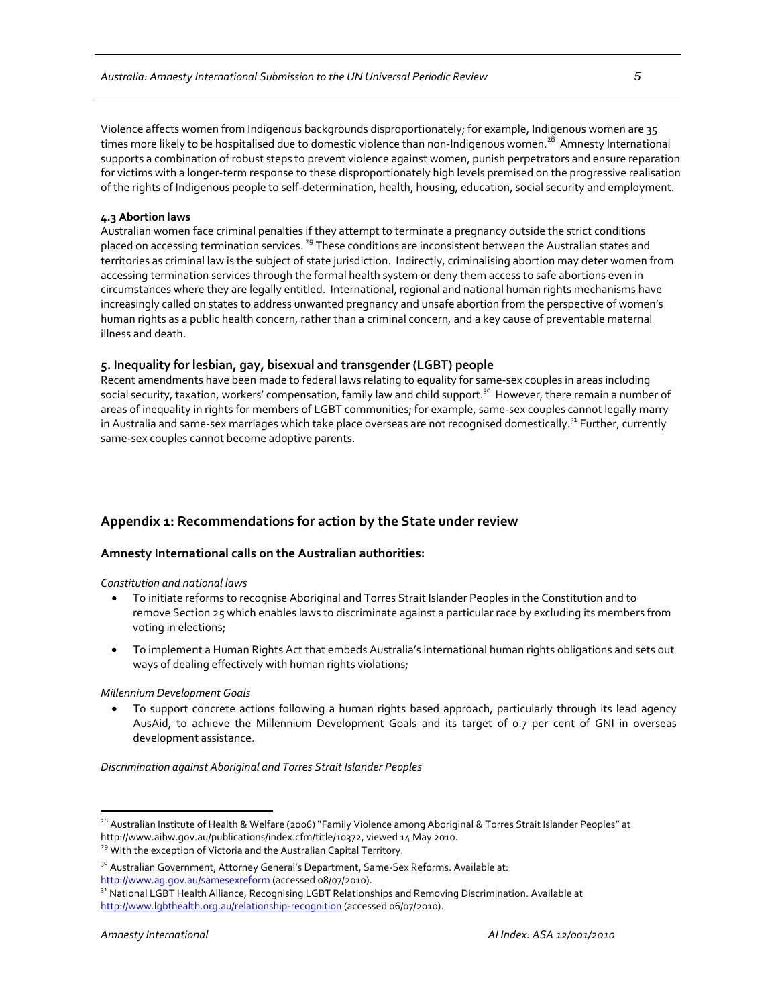Violence affects women from Indigenous backgrounds disproportionately; for example, Indigenous women are 35 times more likely to be hospitalised due to domestic violence than non-Indigenous women.<sup>28</sup> Amnesty International supports a combination of robust steps to prevent violence against women, punish perpetrators and ensure reparation for victims with a longer-term response to these disproportionately high levels premised on the progressive realisation of the rights of Indigenous people to self‐determination, health, housing, education, social security and employment.

#### **4.3 Abortion laws**

Australian women face criminal penalties if they attempt to terminate a pregnancy outside the strict conditions placed on accessing termination services.<sup>29</sup> These conditions are inconsistent between the Australian states and territories as criminal law is the subject of state jurisdiction. Indirectly, criminalising abortion may deter women from accessing termination services through the formal health system or deny them access to safe abortions even in circumstances where they are legally entitled. International, regional and national human rights mechanisms have increasingly called on states to address unwanted pregnancy and unsafe abortion from the perspective of women's human rights as a public health concern, rather than a criminal concern, and a key cause of preventable maternal illness and death.

## **5. Inequality for lesbian, gay, bisexual and transgender (LGBT) people**

Recent amendments have been made to federal laws relating to equality for same‐sex couples in areas including social security, taxation, workers' compensation, family law and child support.<sup>30</sup> However, there remain a number of areas of inequality in rights for members of LGBT communities; for example, same-sex couples cannot legally marry in Australia and same-sex marriages which take place overseas are not recognised domestically.<sup>31</sup> Further, currently same‐sex couples cannot become adoptive parents.

## **Appendix 1: Recommendations for action by the State under review**

## **Amnesty International calls on the Australian authorities:**

#### *Constitution and national laws*

- To initiate reforms to recognise Aboriginal and Torres Strait Islander Peoples in the Constitution and to remove Section 25 which enables laws to discriminate against a particular race by excluding its members from voting in elections;
- To implement a Human Rights Act that embeds Australia's international human rights obligations and sets out ways of dealing effectively with human rights violations;

#### *Millennium Development Goals*

• To support concrete actions following a human rights based approach, particularly through its lead agency AusAid, to achieve the Millennium Development Goals and its target of 0.7 per cent of GNI in overseas development assistance.

*Discrimination against Aboriginal and Torres Strait Islander Peoples*

<sup>&</sup>lt;sup>28</sup> Australian Institute of Health & Welfare (2006) "Family Violence among Aboriginal & Torres Strait Islander Peoples" at http://www.aihw.gov.au/publications/index.cfm/title/10372, viewed 14 May 2010.<br><sup>29</sup> With the exception of Victoria and the Australian Capital Territory.

<sup>&</sup>lt;sup>30</sup> Australian Government, Attorney General's Department, Same-Sex Reforms. Available at:

<sup>&</sup>lt;u>http://www.ag.gov.au/samesexreform</u> (accessed 08/07/2010).<br><sup>31</sup> National LGBT Health Alliance, Recognising LGBT Relationships and Removing Discrimination. Available at

http://www.lgbthealth.org.au/relationship‐recognition (accessed 06/07/2010).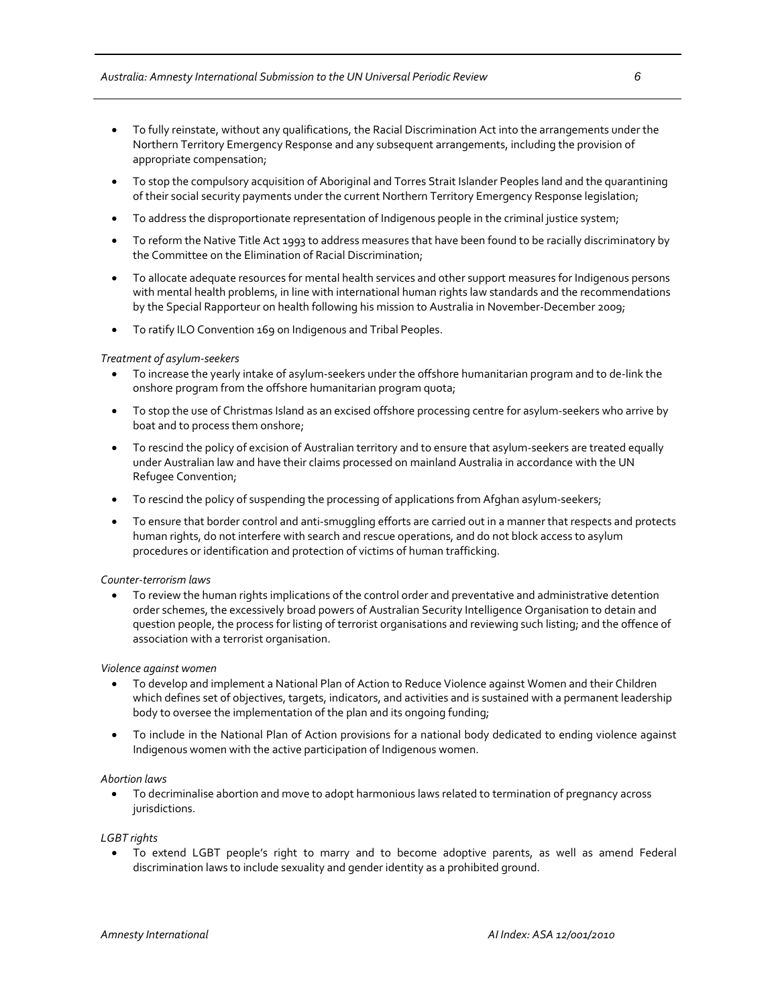- To fully reinstate, without any qualifications, the Racial Discrimination Act into the arrangements under the Northern Territory Emergency Response and any subsequent arrangements, including the provision of appropriate compensation;
- To stop the compulsory acquisition of Aboriginal and Torres Strait Islander Peoples land and the quarantining of their social security payments under the current Northern Territory Emergency Response legislation;
- To address the disproportionate representation of Indigenous people in the criminal justice system;
- To reform the Native Title Act 1993 to address measures that have been found to be racially discriminatory by the Committee on the Elimination of Racial Discrimination;
- To allocate adequate resources for mental health services and other support measures for Indigenous persons with mental health problems, in line with international human rights law standards and the recommendations by the Special Rapporteur on health following his mission to Australia in November-December 2009;
- To ratify ILO Convention 169 on Indigenous and Tribal Peoples.

## *Treatment of asylum‐seekers*

- To increase the yearly intake of asylum‐seekers under the offshore humanitarian program and to de‐link the onshore program from the offshore humanitarian program quota;
- To stop the use of Christmas Island as an excised offshore processing centre for asylum‐seekers who arrive by boat and to process them onshore;
- To rescind the policy of excision of Australian territory and to ensure that asylum‐seekers are treated equally under Australian law and have their claims processed on mainland Australia in accordance with the UN Refugee Convention;
- To rescind the policy of suspending the processing of applications from Afghan asylum-seekers;
- To ensure that border control and anti‐smuggling efforts are carried out in a manner that respects and protects human rights, do not interfere with search and rescue operations, and do not block access to asylum procedures or identification and protection of victims of human trafficking.

## *Counter‐terrorism laws*

• To review the human rights implications of the control order and preventative and administrative detention order schemes, the excessively broad powers of Australian Security Intelligence Organisation to detain and question people, the process for listing of terrorist organisations and reviewing such listing; and the offence of association with a terrorist organisation.

## *Violence against women*

- To develop and implement a National Plan of Action to Reduce Violence against Women and their Children which defines set of objectives, targets, indicators, and activities and is sustained with a permanent leadership body to oversee the implementation of the plan and its ongoing funding;
- To include in the National Plan of Action provisions for a national body dedicated to ending violence against Indigenous women with the active participation of Indigenous women.

## *Abortion laws*

• To decriminalise abortion and move to adopt harmonious laws related to termination of pregnancy across jurisdictions.

*LGBT rights*

• To extend LGBT people's right to marry and to become adoptive parents, as well as amend Federal discrimination laws to include sexuality and gender identity as a prohibited ground.